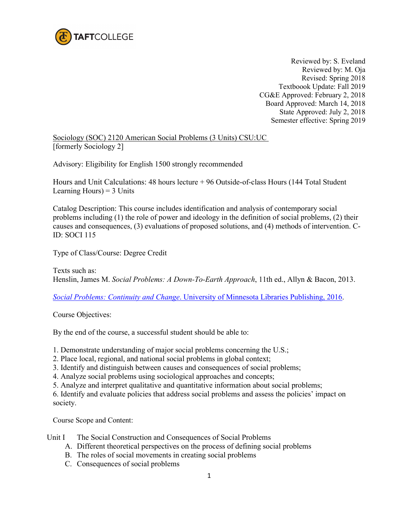

Reviewed by: S. Eveland Reviewed by: M. Oja Revised: Spring 2018 Textboook Update: Fall 2019 CG&E Approved: February 2, 2018 Board Approved: March 14, 2018 State Approved: July 2, 2018 Semester effective: Spring 2019

Sociology (SOC) 2120 American Social Problems (3 Units) CSU:UC [formerly Sociology 2]

Advisory: Eligibility for English 1500 strongly recommended

Hours and Unit Calculations: 48 hours lecture + 96 Outside-of-class Hours (144 Total Student Learning Hours)  $=$  3 Units

Catalog Description: This course includes identification and analysis of contemporary social problems including (1) the role of power and ideology in the definition of social problems, (2) their causes and consequences, (3) evaluations of proposed solutions, and (4) methods of intervention. C-ID: SOCI 115

Type of Class/Course: Degree Credit

Texts such as: Henslin, James M. *Social Problems: A Down-To-Earth Approach*, 11th ed., Allyn & Bacon, 2013.

*Social Problems: Continuity and Change*[. University of Minnesota Libraries Publishing, 2016.](https://open.umn.edu/opentextbooks/textbooks/social-problems-continuity-and-change)

Course Objectives:

By the end of the course, a successful student should be able to:

1. Demonstrate understanding of major social problems concerning the U.S.;

- 2. Place local, regional, and national social problems in global context;
- 3. Identify and distinguish between causes and consequences of social problems;
- 4. Analyze social problems using sociological approaches and concepts;

5. Analyze and interpret qualitative and quantitative information about social problems;

6. Identify and evaluate policies that address social problems and assess the policies' impact on society.

Course Scope and Content:

- Unit I The Social Construction and Consequences of Social Problems
	- A. Different theoretical perspectives on the process of defining social problems
	- B. The roles of social movements in creating social problems
	- C. Consequences of social problems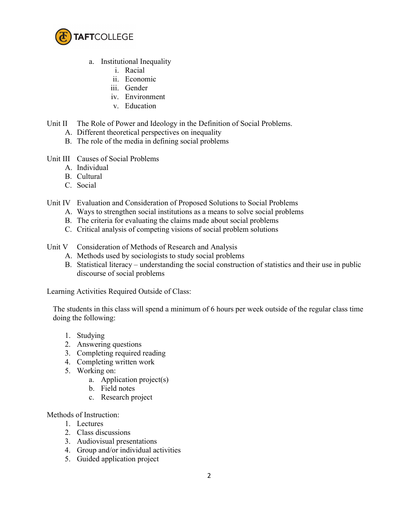

- a. Institutional Inequality
	- i. Racial
	- ii. Economic
	- iii. Gender
	- iv. Environment
	- v. Education
- Unit II The Role of Power and Ideology in the Definition of Social Problems.
	- A. Different theoretical perspectives on inequality
	- B. The role of the media in defining social problems
- Unit III Causes of Social Problems
	- A. Individual
	- B. Cultural
	- C. Social
- Unit IV Evaluation and Consideration of Proposed Solutions to Social Problems
	- A. Ways to strengthen social institutions as a means to solve social problems
	- B. The criteria for evaluating the claims made about social problems
	- C. Critical analysis of competing visions of social problem solutions
- Unit V Consideration of Methods of Research and Analysis
	- A. Methods used by sociologists to study social problems
	- B. Statistical literacy understanding the social construction of statistics and their use in public discourse of social problems

Learning Activities Required Outside of Class:

The students in this class will spend a minimum of 6 hours per week outside of the regular class time doing the following:

- 1. Studying
- 2. Answering questions
- 3. Completing required reading
- 4. Completing written work
- 5. Working on:
	- a. Application project(s)
	- b. Field notes
	- c. Research project

Methods of Instruction:

- 1. Lectures
- 2. Class discussions
- 3. Audiovisual presentations
- 4. Group and/or individual activities
- 5. Guided application project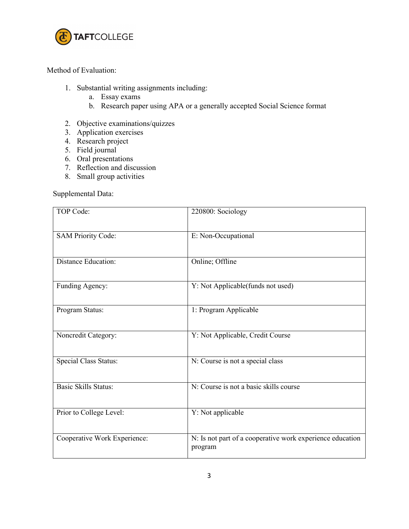

## Method of Evaluation:

- 1. Substantial writing assignments including:
	- a. Essay exams
	- b. Research paper using APA or a generally accepted Social Science format
- 2. Objective examinations/quizzes
- 3. Application exercises
- 4. Research project
- 5. Field journal
- 6. Oral presentations
- 7. Reflection and discussion
- 8. Small group activities

## Supplemental Data:

| <b>TOP Code:</b>             | 220800: Sociology                                                    |
|------------------------------|----------------------------------------------------------------------|
| <b>SAM Priority Code:</b>    | E: Non-Occupational                                                  |
| <b>Distance Education:</b>   | Online; Offline                                                      |
| Funding Agency:              | Y: Not Applicable(funds not used)                                    |
| Program Status:              | 1: Program Applicable                                                |
| Noncredit Category:          | Y: Not Applicable, Credit Course                                     |
| <b>Special Class Status:</b> | N: Course is not a special class                                     |
| <b>Basic Skills Status:</b>  | N: Course is not a basic skills course                               |
| Prior to College Level:      | Y: Not applicable                                                    |
| Cooperative Work Experience: | N: Is not part of a cooperative work experience education<br>program |